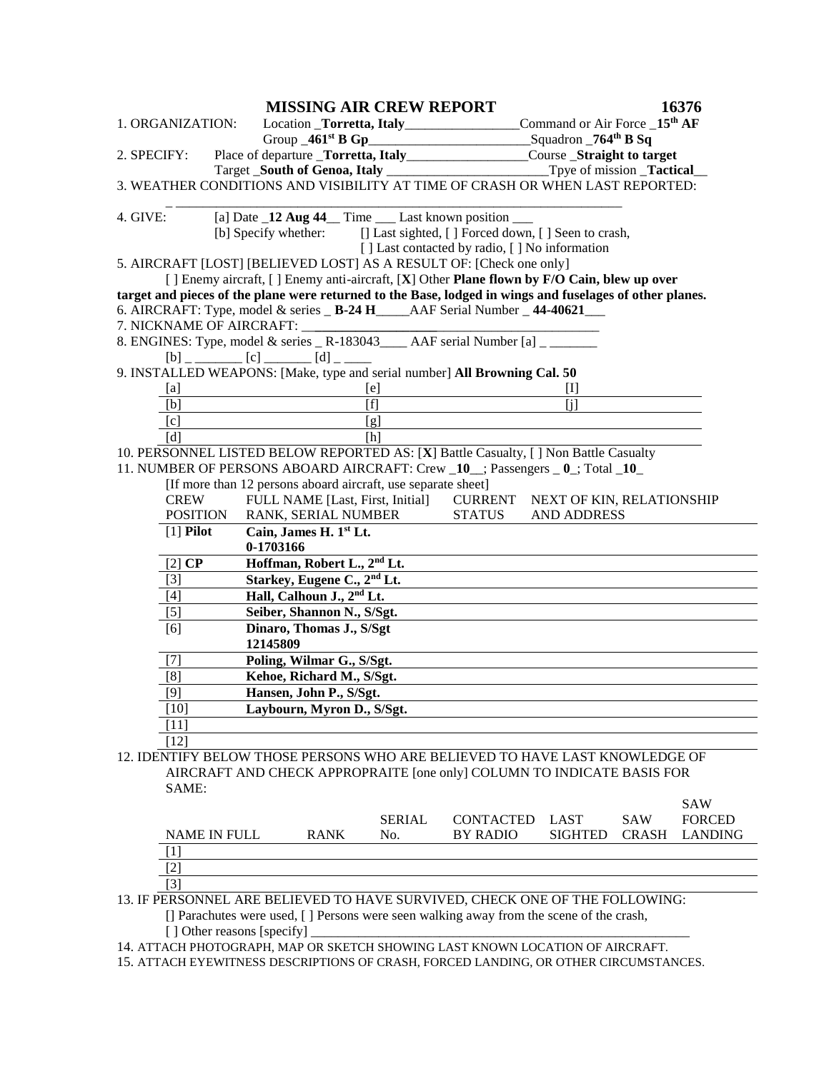|                              |                                                                                                                                |           |                                               | <b>MISSING AIR CREW REPORT</b>                                |                                                                                                          |                                           |              | 16376          |
|------------------------------|--------------------------------------------------------------------------------------------------------------------------------|-----------|-----------------------------------------------|---------------------------------------------------------------|----------------------------------------------------------------------------------------------------------|-------------------------------------------|--------------|----------------|
| 1. ORGANIZATION:             |                                                                                                                                |           |                                               |                                                               |                                                                                                          | Command or Air Force _15 <sup>th</sup> AF |              |                |
|                              |                                                                                                                                |           |                                               |                                                               | Group _461 <sup>st</sup> B Gp_____________________________Squadron _764 <sup>th</sup> B Sq               |                                           |              |                |
| 2. SPECIFY:                  |                                                                                                                                |           |                                               |                                                               | Place of departure _Torretta, Italy___________________Course _Straight to target                         |                                           |              |                |
|                              |                                                                                                                                |           | Target _South of Genoa, Italy                 |                                                               |                                                                                                          | Tpye of mission _Tactical_                |              |                |
|                              |                                                                                                                                |           |                                               |                                                               | 3. WEATHER CONDITIONS AND VISIBILITY AT TIME OF CRASH OR WHEN LAST REPORTED:                             |                                           |              |                |
| 4. GIVE:                     | [a] Date _12 Aug 44_ Time __ Last known position __<br>[b] Specify whether: [] Last sighted, [] Forced down, [] Seen to crash, |           |                                               |                                                               |                                                                                                          |                                           |              |                |
|                              |                                                                                                                                |           |                                               |                                                               |                                                                                                          |                                           |              |                |
|                              |                                                                                                                                |           |                                               |                                                               | [] Last contacted by radio, [] No information                                                            |                                           |              |                |
|                              |                                                                                                                                |           |                                               |                                                               | 5. AIRCRAFT [LOST] [BELIEVED LOST] AS A RESULT OF: [Check one only]                                      |                                           |              |                |
|                              |                                                                                                                                |           |                                               |                                                               | [ ] Enemy aircraft, [ ] Enemy anti-aircraft, [X] Other Plane flown by F/O Cain, blew up over             |                                           |              |                |
|                              |                                                                                                                                |           |                                               |                                                               | target and pieces of the plane were returned to the Base, lodged in wings and fuselages of other planes. |                                           |              |                |
|                              |                                                                                                                                |           |                                               |                                                               | 6. AIRCRAFT: Type, model & series _ B-24 H____AAF Serial Number _44-40621__                              |                                           |              |                |
| 7. NICKNAME OF AIRCRAFT:     |                                                                                                                                |           |                                               |                                                               |                                                                                                          |                                           |              |                |
|                              |                                                                                                                                |           |                                               |                                                               | 8. ENGINES: Type, model & series _ R-183043____ AAF serial Number [a] _ _____                            |                                           |              |                |
|                              |                                                                                                                                |           | $[b]$ _ _ _ _ _ _ $[c]$ _ _ _ _ $[d]$ _ _ _ _ |                                                               |                                                                                                          |                                           |              |                |
|                              |                                                                                                                                |           |                                               |                                                               | 9. INSTALLED WEAPONS: [Make, type and serial number] All Browning Cal. 50                                |                                           |              |                |
| [a]                          |                                                                                                                                |           |                                               | [e]                                                           |                                                                                                          | $[1]$                                     |              |                |
| [b]                          |                                                                                                                                |           |                                               | $\overline{[f]}$                                              |                                                                                                          | $\overline{[i]}$                          |              |                |
| [c]                          |                                                                                                                                |           |                                               | $\overline{[g]}$                                              |                                                                                                          |                                           |              |                |
| [d]                          |                                                                                                                                |           |                                               | [h]                                                           |                                                                                                          |                                           |              |                |
|                              |                                                                                                                                |           |                                               |                                                               | 10. PERSONNEL LISTED BELOW REPORTED AS: [X] Battle Casualty, [] Non Battle Casualty                      |                                           |              |                |
|                              |                                                                                                                                |           |                                               |                                                               | 11. NUMBER OF PERSONS ABOARD AIRCRAFT: Crew _10_; Passengers _0_; Total _10_                             |                                           |              |                |
|                              |                                                                                                                                |           |                                               | [If more than 12 persons aboard aircraft, use separate sheet] |                                                                                                          |                                           |              |                |
| <b>CREW</b>                  |                                                                                                                                |           |                                               | FULL NAME [Last, First, Initial]                              | <b>CURRENT</b>                                                                                           | NEXT OF KIN, RELATIONSHIP                 |              |                |
|                              | <b>POSITION</b>                                                                                                                |           | RANK, SERIAL NUMBER                           |                                                               | <b>STATUS</b>                                                                                            | <b>AND ADDRESS</b>                        |              |                |
| $[1]$ Pilot                  |                                                                                                                                | 0-1703166 | Cain, James H. 1st Lt.                        |                                                               |                                                                                                          |                                           |              |                |
| $\overline{[2] \mathbf{CP}}$ |                                                                                                                                |           | Hoffman, Robert L., 2 <sup>nd</sup> Lt.       |                                                               |                                                                                                          |                                           |              |                |
| $[3]$                        |                                                                                                                                |           | Starkey, Eugene C., 2 <sup>nd</sup> Lt.       |                                                               |                                                                                                          |                                           |              |                |
| [4]                          |                                                                                                                                |           | Hall, Calhoun J., 2 <sup>nd</sup> Lt.         |                                                               |                                                                                                          |                                           |              |                |
| $\lceil 5 \rceil$            |                                                                                                                                |           | Seiber, Shannon N., S/Sgt.                    |                                                               |                                                                                                          |                                           |              |                |
|                              |                                                                                                                                |           | Dinaro, Thomas J., S/Sgt                      |                                                               |                                                                                                          |                                           |              |                |
| [6]                          |                                                                                                                                |           |                                               |                                                               |                                                                                                          |                                           |              |                |
|                              |                                                                                                                                | 12145809  |                                               |                                                               |                                                                                                          |                                           |              |                |
| $[7]$                        |                                                                                                                                |           | Poling, Wilmar G., S/Sgt.                     |                                                               |                                                                                                          |                                           |              |                |
| [8]                          |                                                                                                                                |           | Kehoe, Richard M., S/Sgt.                     |                                                               |                                                                                                          |                                           |              |                |
| $[9]$                        |                                                                                                                                |           | Hansen, John P., S/Sgt.                       |                                                               |                                                                                                          |                                           |              |                |
| $[10]$                       |                                                                                                                                |           | Laybourn, Myron D., S/Sgt.                    |                                                               |                                                                                                          |                                           |              |                |
| $[1\overline{1}]$            |                                                                                                                                |           |                                               |                                                               |                                                                                                          |                                           |              |                |
| $[12]$                       |                                                                                                                                |           |                                               |                                                               |                                                                                                          |                                           |              |                |
|                              |                                                                                                                                |           |                                               |                                                               | 12. IDENTIFY BELOW THOSE PERSONS WHO ARE BELIEVED TO HAVE LAST KNOWLEDGE OF                              |                                           |              |                |
|                              |                                                                                                                                |           |                                               |                                                               | AIRCRAFT AND CHECK APPROPRAITE [one only] COLUMN TO INDICATE BASIS FOR                                   |                                           |              |                |
| SAME:                        |                                                                                                                                |           |                                               |                                                               |                                                                                                          |                                           |              |                |
|                              |                                                                                                                                |           |                                               |                                                               |                                                                                                          |                                           |              | <b>SAW</b>     |
|                              |                                                                                                                                |           |                                               | <b>SERIAL</b>                                                 | <b>CONTACTED</b>                                                                                         | <b>LAST</b>                               | <b>SAW</b>   | <b>FORCED</b>  |
|                              | <b>NAME IN FULL</b>                                                                                                            |           | <b>RANK</b>                                   | No.                                                           | <b>BY RADIO</b>                                                                                          | <b>SIGHTED</b>                            | <b>CRASH</b> | <b>LANDING</b> |
| $\lceil 1 \rceil$            |                                                                                                                                |           |                                               |                                                               |                                                                                                          |                                           |              |                |
| $[2]$                        |                                                                                                                                |           |                                               |                                                               |                                                                                                          |                                           |              |                |
| [3]                          |                                                                                                                                |           |                                               |                                                               |                                                                                                          |                                           |              |                |
|                              |                                                                                                                                |           |                                               |                                                               | 13. IF PERSONNEL ARE BELIEVED TO HAVE SURVIVED, CHECK ONE OF THE FOLLOWING:                              |                                           |              |                |
|                              |                                                                                                                                |           |                                               |                                                               | [] Parachutes were used, [] Persons were seen walking away from the scene of the crash,                  |                                           |              |                |

[ ] Other reasons [specify] \_\_\_\_\_\_\_\_\_\_\_\_\_\_\_\_\_\_\_\_\_\_\_\_\_\_\_\_\_\_\_\_\_\_\_\_\_\_\_\_\_\_\_\_\_\_\_\_\_\_\_\_\_\_\_\_

14. ATTACH PHOTOGRAPH, MAP OR SKETCH SHOWING LAST KNOWN LOCATION OF AIRCRAFT.

15. ATTACH EYEWITNESS DESCRIPTIONS OF CRASH, FORCED LANDING, OR OTHER CIRCUMSTANCES.